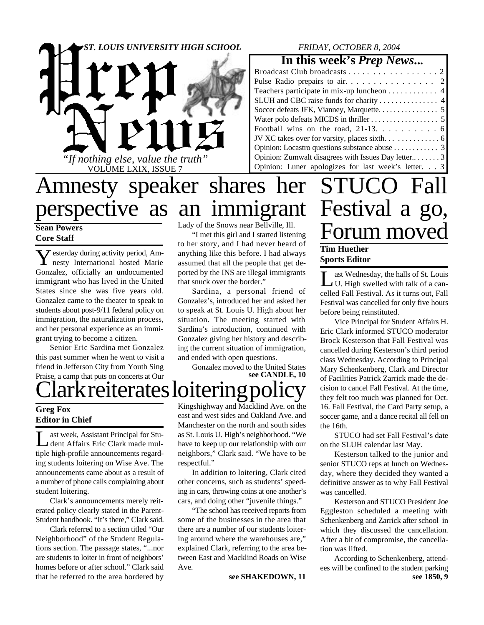

### *FRIDAY, OCTOBER 8, 2004*

### **In this week's** *Prep News***...**

| Teachers participate in mix-up luncheon 4           |
|-----------------------------------------------------|
|                                                     |
|                                                     |
|                                                     |
|                                                     |
|                                                     |
|                                                     |
| Opinion: Zumwalt disagrees with Issues Day letter3  |
| Opinion: Luner apologizes for last week's letter. 3 |

# Amnesty speaker shares her perspective as an immigrant

**Sean Powers Core Staff**

 $\sum$ esterday during activity period, Am-<br>nesty International hosted Marie  $\sum$  esterday during activity period, Am-Gonzalez, officially an undocumented immigrant who has lived in the United States since she was five years old. Gonzalez came to the theater to speak to students about post-9/11 federal policy on immigration, the naturalization process, and her personal experience as an immigrant trying to become a citizen.

Senior Eric Sardina met Gonzalez this past summer when he went to visit a friend in Jefferson City from Youth Sing Praise, a camp that puts on concerts at Our Lady of the Snows near Bellville, Ill.

"I met this girl and I started listening to her story, and I had never heard of anything like this before. I had always assumed that all the people that get deported by the INS are illegal immigrants that snuck over the border."

Sardina, a personal friend of Gonzalez's, introduced her and asked her to speak at St. Louis U. High about her situation. The meeting started with Sardina's introduction, continued with Gonzalez giving her history and describing the current situation of immigration, and ended with open questions.

Gonzalez moved to the United States **see CANDLE, 10**

# lark reiterates loitering

**Greg Fox Editor in Chief**

Let a Week, Assistant Principal for Studient Affairs Eric Clark made mulast week, Assistant Principal for Stutiple high-profile announcements regarding students loitering on Wise Ave. The announcements came about as a result of a number of phone calls complaining about student loitering.

Clark's announcements merely reiterated policy clearly stated in the Parent-Student handbook. "It's there," Clark said.

Clark referred to a section titled "Our Neighborhood" of the Student Regulations section. The passage states, "...nor are students to loiter in front of neighbors' homes before or after school." Clark said that he referred to the area bordered by

Kingshighway and Macklind Ave. on the east and west sides and Oakland Ave. and Manchester on the north and south sides as St. Louis U. High's neighborhood. "We have to keep up our relationship with our neighbors," Clark said. "We have to be respectful."

In addition to loitering, Clark cited other concerns, such as students' speeding in cars, throwing coins at one another's cars, and doing other "juvenile things."

"The school has received reports from some of the businesses in the area that there are a number of our students loitering around where the warehouses are," explained Clark, referring to the area between East and Macklind Roads on Wise Ave.

**see SHAKEDOWN, 11**

# STUCO Fall Festival a go, Forum moved

### **Tim Huether Sports Editor**

L ast Wednesday, the halls of St. Louis U. High swelled with talk of a cancelled Fall Festival. As it turns out, Fall Festival was cancelled for only five hours before being reinstituted.

Vice Principal for Student Affairs H. Eric Clark informed STUCO moderator Brock Kesterson that Fall Festival was cancelled during Kesterson's third period class Wednesday. According to Principal Mary Schenkenberg, Clark and Director of Facilities Patrick Zarrick made the decision to cancel Fall Festival. At the time, they felt too much was planned for Oct. 16. Fall Festival, the Card Party setup, a soccer game, and a dance recital all fell on the 16th.

STUCO had set Fall Festival's date on the SLUH calendar last May.

Kesterson talked to the junior and senior STUCO reps at lunch on Wednesday, where they decided they wanted a definitive answer as to why Fall Festival was cancelled.

Kesterson and STUCO President Joe Eggleston scheduled a meeting with Schenkenberg and Zarrick after school in which they discussed the cancellation. After a bit of compromise, the cancellation was lifted.

**see 1850, 9** According to Schenkenberg, attendees will be confined to the student parking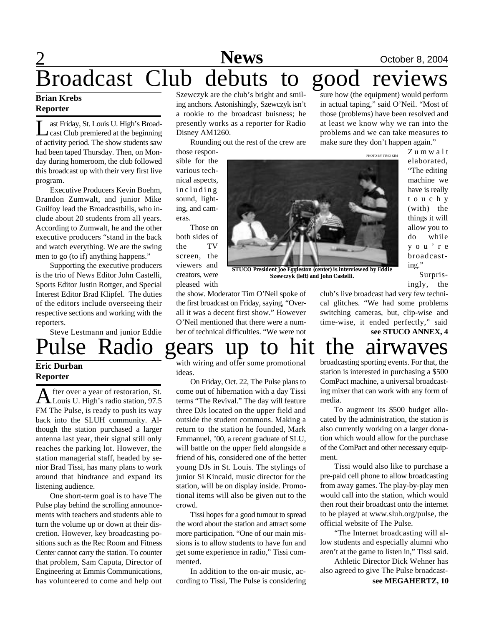## 2 **News** October 8, 2004<br> **COCODER ACCES** Broadcast Club debuts to good reviews

### **Brian Krebs Reporter**

Let as Friday, St. Louis U. High's Broad-<br>
cast Club premiered at the beginning<br>
of activity period. The show students saw ast Friday, St. Louis U. High's Broadcast Club premiered at the beginning had been taped Thursday. Then, on Monday during homeroom, the club followed this broadcast up with their very first live program.

Executive Producers Kevin Boehm, Brandon Zumwalt, and junior Mike Guilfoy lead the Broadcastbills, who include about 20 students from all years. According to Zumwalt, he and the other executive producers "stand in the back and watch everything. We are the swing men to go (to if) anything happens."

Supporting the executive producers is the trio of News Editor John Castelli, Sports Editor Justin Rottger, and Special Interest Editor Brad Klipfel. The duties of the editors include overseeing their respective sections and working with the reporters.

Steve Lestmann and junior Eddie

### Szewczyk are the club's bright and smiling anchors. Astonishingly, Szewczyk isn't a rookie to the broadcast buisness; he presently works as a reporter for Radio Disney AM1260.

Rounding out the rest of the crew are

those responsible for the various technical aspects, including sound, lighting, and cameras.

Those on both sides of the TV screen, the viewers and creators, were pleased with

the show. Moderator Tim O'Neil spoke of the first broadcast on Friday, saying, "Overall it was a decent first show." However O'Neil mentioned that there were a number of technical difficulties. "We were not

sure how (the equipment) would perform in actual taping," said O'Neil. "Most of those (problems) have been resolved and at least we know why we ran into the problems and we can take measures to make sure they don't happen again."

PHOTO BY TIMO KIM

**STUCO President Joe Eggleston (center) is interviewed by Eddie Szewczyk (left) and John Castelli.**

broadcasting." Surpris-

Z u m w a l t elaborated, "The editing machine we have is really t o u c h y (with) the things it will allow you to do while y o u ' r e

ingly, the club's live broadcast had very few technical glitches. "We had some problems switching cameras, but, clip-wise and

time-wise, it ended perfectly," said **see STUCO ANNEX, 4**

# ulse Radio gears up to hit the airwaves

### **Eric Durban Reporter**

A fter over a year of restoration, St. fter over a year of restoration, St. FM The Pulse, is ready to push its way back into the SLUH community. Although the station purchased a larger antenna last year, their signal still only reaches the parking lot. However, the station managerial staff, headed by senior Brad Tissi, has many plans to work around that hindrance and expand its listening audience.

One short-term goal is to have The Pulse play behind the scrolling announcements with teachers and students able to turn the volume up or down at their discretion. However, key broadcasting positions such as the Rec Room and Fitness Center cannot carry the station. To counter that problem, Sam Caputa, Director of Engineering at Emmis Communications, has volunteered to come and help out

with wiring and offer some promotional ideas.

On Friday, Oct. 22, The Pulse plans to come out of hibernation with a day Tissi terms "The Revival." The day will feature three DJs located on the upper field and outside the student commons. Making a return to the station he founded, Mark Emmanuel, '00, a recent graduate of SLU, will battle on the upper field alongside a friend of his, considered one of the better young DJs in St. Louis. The stylings of junior Si Kincaid, music director for the station, will be on display inside. Promotional items will also be given out to the crowd.

Tissi hopes for a good turnout to spread the word about the station and attract some more participation. "One of our main missions is to allow students to have fun and get some experience in radio," Tissi commented.

In addition to the on-air music, according to Tissi, The Pulse is considering broadcasting sporting events. For that, the station is interested in purchasing a \$500 ComPact machine, a universal broadcasting mixer that can work with any form of media.

To augment its \$500 budget allocated by the administration, the station is also currently working on a larger donation which would allow for the purchase of the ComPact and other necessary equipment.

Tissi would also like to purchase a pre-paid cell phone to allow broadcasting from away games. The play-by-play men would call into the station, which would then rout their broadcast onto the internet to be played at www.sluh.org/pulse, the official website of The Pulse.

"The Internet broadcasting will allow students and especially alumni who aren't at the game to listen in," Tissi said.

**see MEGAHERTZ, 10** Athletic Director Dick Wehner has also agreed to give The Pulse broadcast-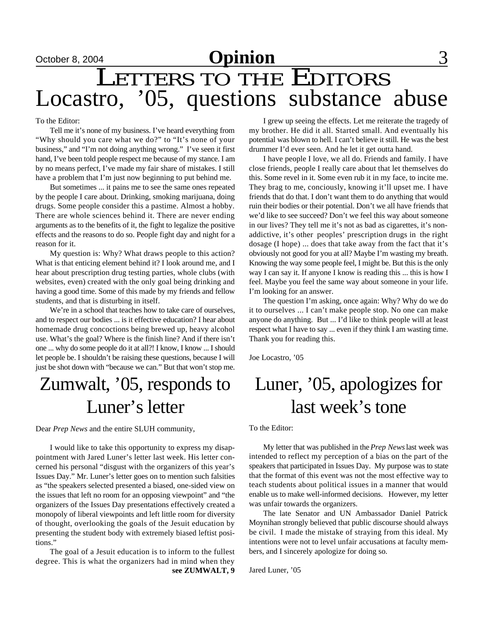# LETTERS TO THE EDITORS Locastro, '05, questions substance abuse

### To the Editor:

Tell me it's none of my business. I've heard everything from "Why should you care what we do?" to "It's none of your business," and "I'm not doing anything wrong." I've seen it first hand, I've been told people respect me because of my stance. I am by no means perfect, I've made my fair share of mistakes. I still have a problem that I'm just now beginning to put behind me.

But sometimes ... it pains me to see the same ones repeated by the people I care about. Drinking, smoking marijuana, doing drugs. Some people consider this a pastime. Almost a hobby. There are whole sciences behind it. There are never ending arguments as to the benefits of it, the fight to legalize the positive effects and the reasons to do so. People fight day and night for a reason for it.

My question is: Why? What draws people to this action? What is that enticing element behind it? I look around me, and I hear about prescription drug testing parties, whole clubs (with websites, even) created with the only goal being drinking and having a good time. Some of this made by my friends and fellow students, and that is disturbing in itself.

We're in a school that teaches how to take care of ourselves, and to respect our bodies ... is it effective education? I hear about homemade drug concoctions being brewed up, heavy alcohol use. What's the goal? Where is the finish line? And if there isn't one ... why do some people do it at all?! I know, I know ... I should let people be. I shouldn't be raising these questions, because I will just be shot down with "because we can." But that won't stop me.

## Zumwalt, '05, responds to Luner's letter

Dear *Prep News* and the entire SLUH community,

I would like to take this opportunity to express my disappointment with Jared Luner's letter last week. His letter concerned his personal "disgust with the organizers of this year's Issues Day." Mr. Luner's letter goes on to mention such falsities as "the speakers selected presented a biased, one-sided view on the issues that left no room for an opposing viewpoint" and "the organizers of the Issues Day presentations effectively created a monopoly of liberal viewpoints and left little room for diversity of thought, overlooking the goals of the Jesuit education by presenting the student body with extremely biased leftist positions."

The goal of a Jesuit education is to inform to the fullest degree. This is what the organizers had in mind when they **see ZUMWALT, 9**

I grew up seeing the effects. Let me reiterate the tragedy of my brother. He did it all. Started small. And eventually his potential was blown to hell. I can't believe it still. He was the best drummer I'd ever seen. And he let it get outta hand.

I have people I love, we all do. Friends and family. I have close friends, people I really care about that let themselves do this. Some revel in it. Some even rub it in my face, to incite me. They brag to me, conciously, knowing it'll upset me. I have friends that do that. I don't want them to do anything that would ruin their bodies or their potential. Don't we all have friends that we'd like to see succeed? Don't we feel this way about someone in our lives? They tell me it's not as bad as cigarettes, it's nonaddictive, it's other peoples' prescription drugs in the right dosage (I hope) ... does that take away from the fact that it's obviously not good for you at all? Maybe I'm wasting my breath. Knowing the way some people feel, I might be. But this is the only way I can say it. If anyone I know is reading this ... this is how I feel. Maybe you feel the same way about someone in your life. I'm looking for an answer.

The question I'm asking, once again: Why? Why do we do it to ourselves ... I can't make people stop. No one can make anyone do anything. But ... I'd like to think people will at least respect what I have to say ... even if they think I am wasting time. Thank you for reading this.

Joe Locastro, '05

## Luner, '05, apologizes for last week's tone

To the Editor:

My letter that was published in the *Prep News* last week was intended to reflect my perception of a bias on the part of the speakers that participated in Issues Day. My purpose was to state that the format of this event was not the most effective way to teach students about political issues in a manner that would enable us to make well-informed decisions. However, my letter was unfair towards the organizers.

The late Senator and UN Ambassador Daniel Patrick Moynihan strongly believed that public discourse should always be civil. I made the mistake of straying from this ideal. My intentions were not to level unfair accusations at faculty members, and I sincerely apologize for doing so.

Jared Luner, '05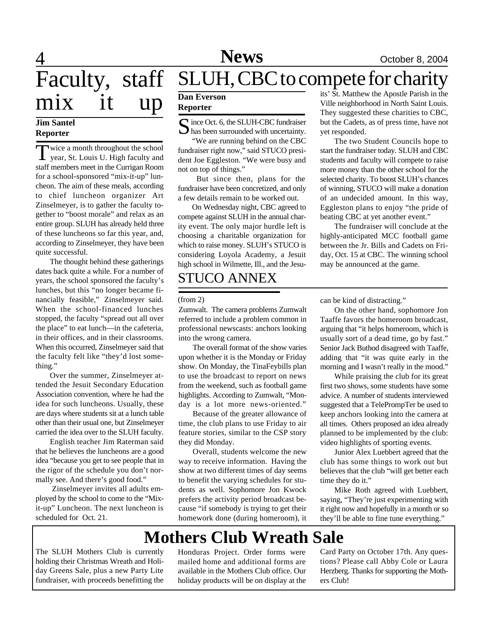# **News** October 8, 2004

 $\overline{4}$ Faculty, staff mix it up **Dan Everson** 

### **Jim Santel Reporter**

Twice a month throughout the school<br>year, St. Louis U. High faculty and year, St. Louis U. High faculty and staff members meet in the Currigan Room for a school-sponsored "mix-it-up" luncheon. The aim of these meals, according to chief luncheon organizer Art Zinselmeyer, is to gather the faculty together to "boost morale" and relax as an entire group. SLUH has already held three of these luncheons so far this year, and, according to Zinselmeyer, they have been quite successful.

The thought behind these gatherings dates back quite a while. For a number of years, the school sponsored the faculty's lunches, but this "no longer became financially feasible," Zinselmeyer said. When the school-financed lunches stopped, the faculty "spread out all over the place" to eat lunch—in the cafeteria, in their offices, and in their classrooms. When this occurred, Zinselmeyer said that the faculty felt like "they'd lost something."

Over the summer, Zinselmeyer attended the Jesuit Secondary Education Association convention, where he had the idea for such luncheons. Usually, these are days where students sit at a lunch table other than their usual one, but Zinselmeyer carried the idea over to the SLUH faculty.

English teacher Jim Raterman said that he believes the luncheons are a good idea "because you get to see people that in the rigor of the schedule you don't normally see. And there's good food."

 Zinselmeyer invites all adults employed by the school to come to the "Mixit-up" Luncheon. The next luncheon is scheduled for Oct. 21.

## SLUH, CBC to compete for charity

## **Reporter**

S ince Oct. 6, the SLUH-CBC fundraiser<br>
In this been surrounded with uncertainty.  $\bigcup$  has been surrounded with uncertainty.

"We are running behind on the CBC fundraiser right now," said STUCO president Joe Eggleston. "We were busy and not on top of things."

But since then, plans for the fundraiser have been concretized, and only a few details remain to be worked out.

On Wednesday night, CBC agreed to compete against SLUH in the annual charity event. The only major hurdle left is choosing a charitable organization for which to raise money. SLUH's STUCO is considering Loyola Academy, a Jesuit high school in Wilmette, Ill., and the Jesu-

## STUCO ANNEX

Zumwalt. The camera problems Zumwalt referred to include a problem common in professional newscasts: anchors looking into the wrong camera.

The overall format of the show varies upon whether it is the Monday or Friday show. On Monday, the TinaFeybills plan to use the broadcast to report on news from the weekend, such as football game highlights. According to Zumwalt, "Monday is a lot more news-oriented."

Because of the greater allowance of time, the club plans to use Friday to air feature stories, similar to the CSP story they did Monday.

Overall, students welcome the new way to receive information. Having the show at two different times of day seems to benefit the varying schedules for students as well. Sophomore Jon Kwock prefers the activity period broadcast because "if somebody is trying to get their homework done (during homeroom), it

its' St. Matthew the Apostle Parish in the Ville neighborhood in North Saint Louis. They suggested these charities to CBC, but the Cadets, as of press time, have not yet responded.

The two Student Councils hope to start the fundraiser today. SLUH and CBC students and faculty will compete to raise more money than the other school for the selected charity. To boost SLUH's chances of winning, STUCO will make a donation of an undecided amount. In this way, Eggleston plans to enjoy "the pride of beating CBC at yet another event."

The fundraiser will conclude at the highly-anticipated MCC football game between the Jr. Bills and Cadets on Friday, Oct. 15 at CBC. The winning school may be announced at the game.

(from 2) can be kind of distracting."

On the other hand, sophomore Jon Taaffe favors the homeroom broadcast, arguing that "it helps homeroom, which is usually sort of a dead time, go by fast." Senior Jack Buthod disagreed with Taaffe, adding that "it was quite early in the morning and I wasn't really in the mood."

While praising the club for its great first two shows, some students have some advice. A number of students interviewed suggested that a TelePrompTer be used to keep anchors looking into the camera at all times. Others proposed an idea already planned to be implemented by the club: video highlights of sporting events.

Junior Alex Luebbert agreed that the club has some things to work out but believes that the club "will get better each time they do it."

Mike Roth agreed with Luebbert, saying, "They're just experimenting with it right now and hopefully in a month or so they'll be able to fine tune everything."

## **Mothers Club Wreath Sale**

The SLUH Mothers Club is currently holding their Christmas Wreath and Holiday Greens Sale, plus a new Party Lite fundraiser, with proceeds benefitting the

Honduras Project. Order forms were mailed home and additional forms are available in the Mothers Club office. Our holiday products will be on display at the Card Party on October 17th. Any questions? Please call Abby Cole or Laura Herzberg. Thanks for supporting the Mothers Club!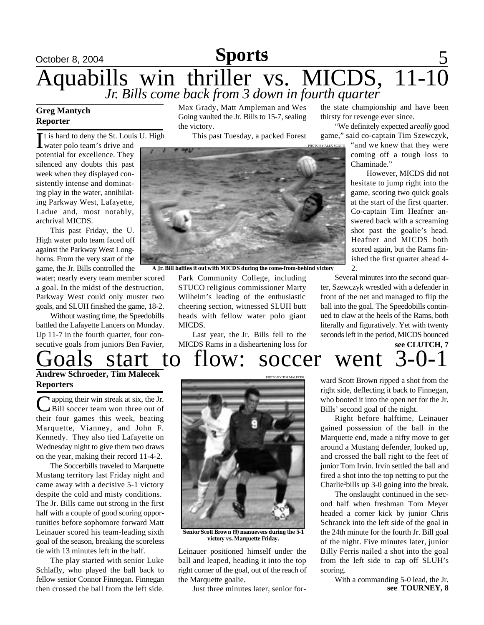## **Sports**

## October 8, 2004 **Sports** 5 Aquabills win thriller vs. MICDS, 11-10 *Jr. Bills come back from 3 down in fourth quarter*

### **Greg Mantych Reporter**

t is hard to deny the St. Louis U. High

It is hard to deny the St. Louis potential for excellence. They silenced any doubts this past week when they displayed consistently intense and dominating play in the water, annihilating Parkway West, Lafayette, Ladue and, most notably, archrival MICDS.

This past Friday, the U. High water polo team faced off against the Parkway West Longhorns. From the very start of the game, the Jr. Bills controlled the

water; nearly every team member scored a goal. In the midst of the destruction, Parkway West could only muster two goals, and SLUH finished the game, 18-2.

Without wasting time, the Speedobills battled the Lafayette Lancers on Monday. Up 11-7 in the fourth quarter, four consecutive goals from juniors Ben Favier,

## Goals start to flow: soccer went 3-0-1 **Andrew Schroeder, Tim Malecek**

**Reporters**

C apping their win streak at six, the Jr.<br>Bill soccer team won three out of Apping their win streak at six, the Jr. their four games this week, beating Marquette, Vianney, and John F. Kennedy. They also tied Lafayette on Wednesday night to give them two draws on the year, making their record 11-4-2.

The Soccerbills traveled to Marquette Mustang territory last Friday night and came away with a decisive 5-1 victory despite the cold and misty conditions. The Jr. Bills came out strong in the first half with a couple of good scoring opportunities before sophomore forward Matt Leinauer scored his team-leading sixth goal of the season, breaking the scoreless tie with 13 minutes left in the half.

The play started with senior Luke Schlafly, who played the ball back to fellow senior Connor Finnegan. Finnegan then crossed the ball from the left side.

Max Grady, Matt Ampleman and Wes Going vaulted the Jr. Bills to 15-7, sealing the victory.

This past Tuesday, a packed Forest



**A Jr. Bill battles it out with MICDS during the come-from-behind victory**

Park Community College, including STUCO religious commissioner Marty Wilhelm's leading of the enthusiastic cheering section, witnessed SLUH butt heads with fellow water polo giant MICDS.

Last year, the Jr. Bills fell to the MICDS Rams in a disheartening loss for the state championship and have been thirsty for revenge ever since.

"We definitely expected a *really* good game," said co-captain Tim Szewczyk,

> "and we knew that they were coming off a tough loss to Chaminade."

 However, MICDS did not hesitate to jump right into the game, scoring two quick goals at the start of the first quarter. Co-captain Tim Heafner answered back with a screaming shot past the goalie's head. Heafner and MICDS both scored again, but the Rams finished the first quarter ahead 4- 2.

**see CLUTCH, 7** Several minutes into the second quarter, Szewczyk wrestled with a defender in front of the net and managed to flip the ball into the goal. The Speedobills continued to claw at the heels of the Rams, both literally and figuratively. Yet with twenty seconds left in the period, MICDS bounced

PHOTO BY TIM MALECEK

ward Scott Brown ripped a shot from the right side, deflecting it back to Finnegan, who booted it into the open net for the Jr. Bills' second goal of the night.

Right before halftime, Leinauer gained possession of the ball in the Marquette end, made a nifty move to get around a Mustang defender, looked up, and crossed the ball right to the feet of junior Tom Irvin. Irvin settled the ball and fired a shot into the top netting to put the Charlie2bills up 3-0 going into the break.

The onslaught continued in the second half when freshman Tom Meyer headed a corner kick by junior Chris Schranck into the left side of the goal in the 24th minute for the fourth Jr. Bill goal of the night. Five minutes later, junior Billy Ferris nailed a shot into the goal from the left side to cap off SLUH's scoring.

**see TOURNEY, 8** With a commanding 5-0 lead, the Jr.



**Senior Scott Brown (9) manuevers during the 5-1 victory vs. Marquette Friday.**

Leinauer positioned himself under the ball and leaped, heading it into the top right corner of the goal, out of the reach of the Marquette goalie.

Just three minutes later, senior for-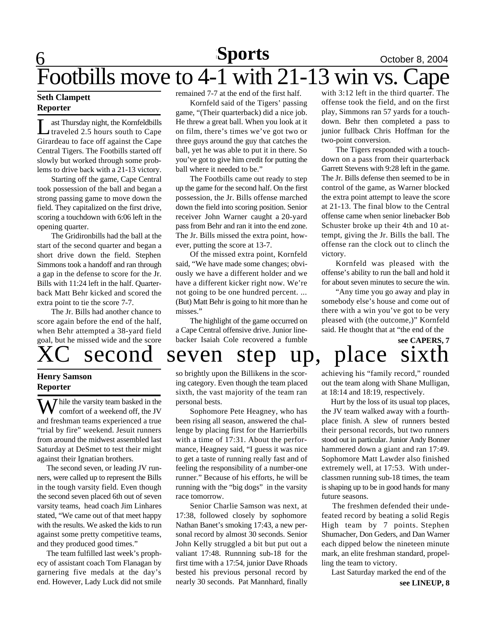## $\underline{6}$ **Sports October 8, 2004** Footbills move to  $4-1$  with  $21-13$  win vs.

### **Seth Clampett Reporter**

**Let Thursday night, the Kornfeldbills**<br>traveled 2.5 hours south to Cape ast Thursday night, the Kornfeldbills Girardeau to face off against the Cape Central Tigers. The Footbills started off slowly but worked through some problems to drive back with a 21-13 victory.

Starting off the game, Cape Central took possession of the ball and began a strong passing game to move down the field. They capitalized on the first drive, scoring a touchdown with 6:06 left in the opening quarter.

The Gridironbills had the ball at the start of the second quarter and began a short drive down the field. Stephen Simmons took a handoff and ran through a gap in the defense to score for the Jr. Bills with 11:24 left in the half. Quarterback Matt Behr kicked and scored the extra point to tie the score 7-7.

The Jr. Bills had another chance to score again before the end of the half, when Behr attempted a 38-yard field goal, but he missed wide and the score

### remained 7-7 at the end of the first half.

Kornfeld said of the Tigers' passing game, "(Their quarterback) did a nice job. He threw a great ball. When you look at it on film, there's times we've got two or three guys around the guy that catches the ball, yet he was able to put it in there. So you've got to give him credit for putting the ball where it needed to be."

The Footbills came out ready to step up the game for the second half. On the first possession, the Jr. Bills offense marched down the field into scoring position. Senior receiver John Warner caught a 20-yard pass from Behr and ran it into the end zone. The Jr. Bills missed the extra point, however, putting the score at 13-7.

Of the missed extra point, Kornfeld said, "We have made some changes; obviously we have a different holder and we have a different kicker right now. We're not going to be one hundred percent. ... (But) Matt Behr is going to hit more than he misses."

The highlight of the game occurred on a Cape Central offensive drive. Junior linebacker Isaiah Cole recovered a fumble

with 3:12 left in the third quarter. The offense took the field, and on the first play, Simmons ran 57 yards for a touchdown. Behr then completed a pass to junior fullback Chris Hoffman for the two-point conversion.

The Tigers responded with a touchdown on a pass from their quarterback Garrett Stevens with 9:28 left in the game. The Jr. Bills defense then seemed to be in control of the game, as Warner blocked the extra point attempt to leave the score at 21-13. The final blow to the Central offense came when senior linebacker Bob Schuster broke up their 4th and 10 attempt, giving the Jr. Bills the ball. The offense ran the clock out to clinch the victory.

Kornfeld was pleased with the offense's ability to run the ball and hold it for about seven minutes to secure the win.

"Any time you go away and play in somebody else's house and come out of there with a win you've got to be very pleased with (the outcome,)" Kornfeld said. He thought that at "the end of the

## second seven step up, place **see CAPERS, 7**

### **Henry Samson Reporter**

 $\overline{J}$  hile the varsity team basked in the comfort of a weekend off, the JV and freshman teams experienced a true "trial by fire" weekend. Jesuit runners from around the midwest assembled last Saturday at DeSmet to test their might against their Ignatian brothers.

 The second seven, or leading JV runners, were called up to represent the Bills in the tough varsity field. Even though the second seven placed 6th out of seven varsity teams, head coach Jim Linhares stated, "We came out of that meet happy with the results. We asked the kids to run against some pretty competitive teams, and they produced good times."

 The team fulfilled last week's prophecy of assistant coach Tom Flanagan by garnering five medals at the day's end. However, Lady Luck did not smile so brightly upon the Billikens in the scoring category. Even though the team placed sixth, the vast majority of the team ran personal bests.

Sophomore Pete Heagney, who has been rising all season, answered the challenge by placing first for the Harrierbills with a time of 17:31. About the performance, Heagney said, "I guess it was nice to get a taste of running really fast and of feeling the responsibility of a number-one runner." Because of his efforts, he will be running with the "big dogs" in the varsity race tomorrow.

Senior Charlie Samson was next, at 17:38, followed closely by sophomore Nathan Banet's smoking 17:43, a new personal record by almost 30 seconds. Senior John Kelly struggled a bit but put out a valiant 17:48. Runnning sub-18 for the first time with a 17:54, junior Dave Rhoads bested his previous personal record by nearly 30 seconds. Pat Mannhard, finally achieving his "family record," rounded out the team along with Shane Mulligan, at 18:14 and 18:19, respectively.

 Hurt by the loss of its usual top places, the JV team walked away with a fourthplace finish. A slew of runners bested their personal records, but two runners stood out in particular. Junior Andy Bonner hammered down a giant and ran 17:49. Sophomore Matt Lawder also finished extremely well, at 17:53. With underclassmen running sub-18 times, the team is shaping up to be in good hands for many future seasons.

 The freshmen defended their undefeated record by beating a solid Regis High team by 7 points. Stephen Shumacher, Don Geders, and Dan Warner each dipped below the nineteen minute mark, an elite freshman standard, propelling the team to victory.

Last Saturday marked the end of the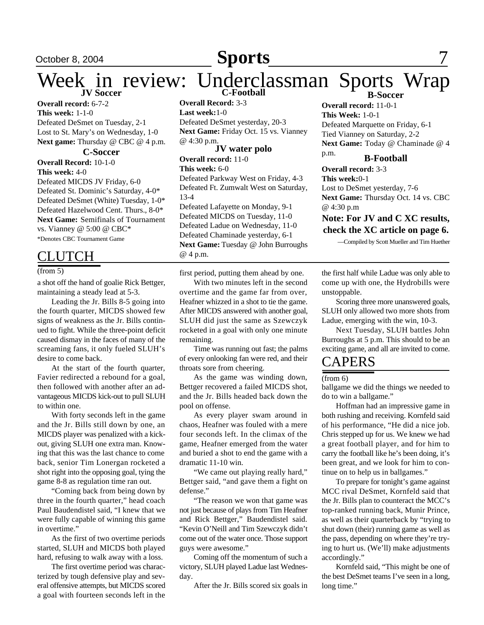### October 8, 2004 **Sports** 7 **Sports**

### Week in review: Underclassman Sports Wrap **B-Soccer**

**Overall record:** 6-7-2 **This week:** 1-1-0 Defeated DeSmet on Tuesday, 2-1 Lost to St. Mary's on Wednesday, 1-0 **Next game:** Thursday @ CBC @ 4 p.m.

#### **C-Soccer**

**Overall Record:** 10-1-0 **This week:** 4-0

Defeated MICDS JV Friday, 6-0 Defeated St. Dominic's Saturday, 4-0\* Defeated DeSmet (White) Tuesday, 1-0\* Defeated Hazelwood Cent. Thurs., 8-0\* **Next Game:** Semifinals of Tournament vs. Vianney @ 5:00 @ CBC\* \*Denotes CBC Tournament Game

### **JUTCH**

(from 5)

a shot off the hand of goalie Rick Bettger, maintaining a steady lead at 5-3.

Leading the Jr. Bills 8-5 going into the fourth quarter, MICDS showed few signs of weakness as the Jr. Bills continued to fight. While the three-point deficit caused dismay in the faces of many of the screaming fans, it only fueled SLUH's desire to come back.

At the start of the fourth quarter, Favier redirected a rebound for a goal, then followed with another after an advantageous MICDS kick-out to pull SLUH to within one.

With forty seconds left in the game and the Jr. Bills still down by one, an MICDS player was penalized with a kickout, giving SLUH one extra man. Knowing that this was the last chance to come back, senior Tim Lonergan rocketed a shot right into the opposing goal, tying the game 8-8 as regulation time ran out.

"Coming back from being down by three in the fourth quarter," head coach Paul Baudendistel said, "I knew that we were fully capable of winning this game in overtime."

As the first of two overtime periods started, SLUH and MICDS both played hard, refusing to walk away with a loss.

The first overtime period was characterized by tough defensive play and several offensive attempts, but MICDS scored a goal with fourteen seconds left in the **Overall Record:** 3-3 **Last week:**1-0 Defeated DeSmet yesterday, 20-3 Next Game: Friday Oct. 15 vs. Vianney @ 4:30 p.m.

**JV water polo Overall record:** 11-0 **This week:** 6-0 Defeated Parkway West on Friday, 4-3 Defeated Ft. Zumwalt West on Saturday, 13-4 Defeated Lafayette on Monday, 9-1 Defeated MICDS on Tuesday, 11-0 Defeated Ladue on Wednesday, 11-0 Defeated Chaminade yesterday, 6-1 **Next Game:** Tuesday @ John Burroughs @ 4 p.m.

first period, putting them ahead by one.

With two minutes left in the second overtime and the game far from over, Heafner whizzed in a shot to tie the game. After MICDS answered with another goal, SLUH did just the same as Szewczyk rocketed in a goal with only one minute remaining.

Time was running out fast; the palms of every onlooking fan were red, and their throats sore from cheering.

As the game was winding down, Bettger recovered a failed MICDS shot, and the Jr. Bills headed back down the pool on offense.

As every player swam around in chaos, Heafner was fouled with a mere four seconds left. In the climax of the game, Heafner emerged from the water and buried a shot to end the game with a dramatic 11-10 win.

"We came out playing really hard," Bettger said, "and gave them a fight on defense."

"The reason we won that game was not just because of plays from Tim Heafner and Rick Bettger," Baudendistel said. "Kevin O'Neill and Tim Szewczyk didn't come out of the water once. Those support guys were awesome."

Coming off the momentum of such a victory, SLUH played Ladue last Wednesday.

After the Jr. Bills scored six goals in

**B-Football Overall record:** 11-0-1 **This Week:** 1-0-1 Defeated Marquette on Friday, 6-1 Tied Vianney on Saturday, 2-2 **Next Game:** Today @ Chaminade @ 4 p.m.

**Overall record:** 3-3 **This week:**0-1 Lost to DeSmet yesterday, 7-6 **Next Game:** Thursday Oct. 14 vs. CBC . @ 4:30 p.m

### **Note: For JV and C XC results, check the XC article on page 6.**

—Compiled by Scott Mueller and Tim Huether

the first half while Ladue was only able to come up with one, the Hydrobills were unstoppable.

Scoring three more unanswered goals, SLUH only allowed two more shots from Ladue, emerging with the win, 10-3.

Next Tuesday, SLUH battles John Burroughs at 5 p.m. This should to be an exciting game, and all are invited to come.

### **CAPERS**

#### (from 6)

ballgame we did the things we needed to do to win a ballgame."

Hoffman had an impressive game in both rushing and receiving. Kornfeld said of his performance, "He did a nice job. Chris stepped up for us. We knew we had a great football player, and for him to carry the football like he's been doing, it's been great, and we look for him to continue on to help us in ballgames."

To prepare for tonight's game against MCC rival DeSmet, Kornfeld said that the Jr. Bills plan to counteract the MCC's top-ranked running back, Munir Prince, as well as their quarterback by "trying to shut down (their) running game as well as the pass, depending on where they're trying to hurt us. (We'll) make adjustments accordingly."

Kornfeld said, "This might be one of the best DeSmet teams I've seen in a long, long time."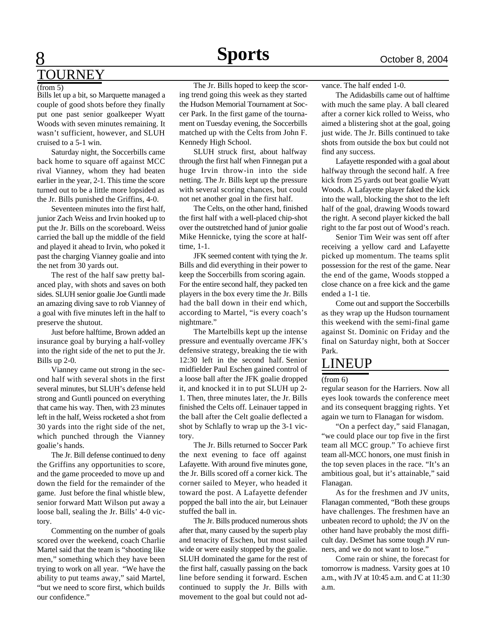# **Sports October 8, 2004**

## 8 TOURNEY

### $(from 5)$

Bills let up a bit, so Marquette managed a couple of good shots before they finally put one past senior goalkeeper Wyatt Woods with seven minutes remaining. It wasn't sufficient, however, and SLUH cruised to a 5-1 win.

Saturday night, the Soccerbills came back home to square off against MCC rival Vianney, whom they had beaten earlier in the year, 2-1. This time the score turned out to be a little more lopsided as the Jr. Bills punished the Griffins, 4-0.

Seventeen minutes into the first half, junior Zach Weiss and Irvin hooked up to put the Jr. Bills on the scoreboard. Weiss carried the ball up the middle of the field and played it ahead to Irvin, who poked it past the charging Vianney goalie and into the net from 30 yards out.

The rest of the half saw pretty balanced play, with shots and saves on both sides. SLUH senior goalie Joe Guntli made an amazing diving save to rob Vianney of a goal with five minutes left in the half to preserve the shutout.

Just before halftime, Brown added an insurance goal by burying a half-volley into the right side of the net to put the Jr. Bills up 2-0.

Vianney came out strong in the second half with several shots in the first several minutes, but SLUH's defense held strong and Guntli pounced on everything that came his way. Then, with 23 minutes left in the half, Weiss rocketed a shot from 30 yards into the right side of the net, which punched through the Vianney goalie's hands.

The Jr. Bill defense continued to deny the Griffins any opportunities to score, and the game proceeded to move up and down the field for the remainder of the game. Just before the final whistle blew, senior forward Matt Wilson put away a loose ball, sealing the Jr. Bills' 4-0 victory.

Commenting on the number of goals scored over the weekend, coach Charlie Martel said that the team is "shooting like men," something which they have been trying to work on all year. "We have the ability to put teams away," said Martel, "but we need to score first, which builds our confidence."

The Jr. Bills hoped to keep the scoring trend going this week as they started the Hudson Memorial Tournament at Soccer Park. In the first game of the tournament on Tuesday evening, the Soccerbills matched up with the Celts from John F. Kennedy High School.

SLUH struck first, about halfway through the first half when Finnegan put a huge Irvin throw-in into the side netting. The Jr. Bills kept up the pressure with several scoring chances, but could not net another goal in the first half.

The Celts, on the other hand, finished the first half with a well-placed chip-shot over the outstretched hand of junior goalie Mike Hennicke, tying the score at halftime, 1-1.

JFK seemed content with tying the Jr. Bills and did everything in their power to keep the Soccerbills from scoring again. For the entire second half, they packed ten players in the box every time the Jr. Bills had the ball down in their end which, according to Martel, "is every coach's nightmare."

The Martelbills kept up the intense pressure and eventually overcame JFK's defensive strategy, breaking the tie with 12:30 left in the second half. Senior midfielder Paul Eschen gained control of a loose ball after the JFK goalie dropped it, and knocked it in to put SLUH up 2- 1. Then, three minutes later, the Jr. Bills finished the Celts off. Leinauer tapped in the ball after the Celt goalie deflected a shot by Schlafly to wrap up the 3-1 victory.

The Jr. Bills returned to Soccer Park the next evening to face off against Lafayette. With around five minutes gone, the Jr. Bills scored off a corner kick. The corner sailed to Meyer, who headed it toward the post. A Lafayette defender popped the ball into the air, but Leinauer stuffed the ball in.

The Jr. Bills produced numerous shots after that, many caused by the superb play and tenacity of Eschen, but most sailed wide or were easily stopped by the goalie. SLUH dominated the game for the rest of the first half, casually passing on the back line before sending it forward. Eschen continued to supply the Jr. Bills with movement to the goal but could not advance. The half ended 1-0.

The Adidasbills came out of halftime with much the same play. A ball cleared after a corner kick rolled to Weiss, who aimed a blistering shot at the goal, going just wide. The Jr. Bills continued to take shots from outside the box but could not find any success.

Lafayette responded with a goal about halfway through the second half. A free kick from 25 yards out beat goalie Wyatt Woods. A Lafayette player faked the kick into the wall, blocking the shot to the left half of the goal, drawing Woods toward the right. A second player kicked the ball right to the far post out of Wood's reach.

Senior Tim Weir was sent off after receiving a yellow card and Lafayette picked up momentum. The teams split possession for the rest of the game. Near the end of the game, Woods stopped a close chance on a free kick and the game ended a 1-1 tie.

Come out and support the Soccerbills as they wrap up the Hudson tournament this weekend with the semi-final game against St. Dominic on Friday and the final on Saturday night, both at Soccer Park.

### LINEUP

#### (from 6)

regular season for the Harriers. Now all eyes look towards the conference meet and its consequent bragging rights. Yet again we turn to Flanagan for wisdom.

"On a perfect day," said Flanagan, "we could place our top five in the first team all MCC group." To achieve first team all-MCC honors, one must finish in the top seven places in the race. "It's an ambitious goal, but it's attainable," said Flanagan.

As for the freshmen and JV units, Flanagan commented, "Both these groups have challenges. The freshmen have an unbeaten record to uphold; the JV on the other hand have probably the most difficult day. DeSmet has some tough JV runners, and we do not want to lose."

Come rain or shine, the forecast for tomorrow is madness. Varsity goes at 10 a.m., with JV at 10:45 a.m. and C at 11:30 a.m.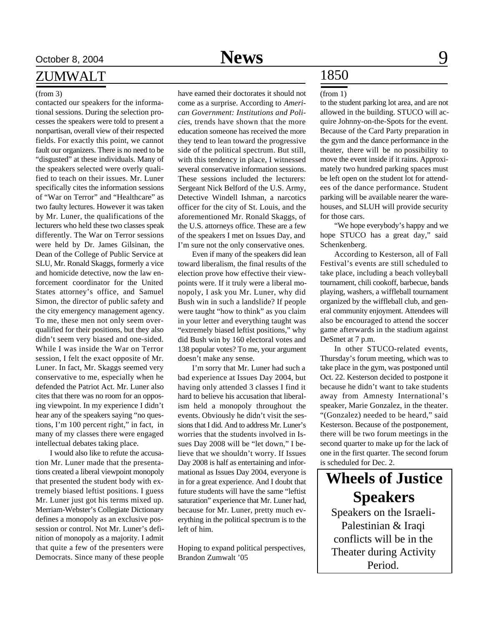### ZUMWALT

contacted our speakers for the informational sessions. During the selection processes the speakers were told to present a nonpartisan, overall view of their respected fields. For exactly this point, we cannot fault our organizers. There is no need to be "disgusted" at these individuals. Many of the speakers selected were overly qualified to teach on their issues. Mr. Luner specifically cites the information sessions of "War on Terror" and "Healthcare" as two faulty lectures. However it was taken by Mr. Luner, the qualifications of the lecturers who held these two classes speak differently. The War on Terror sessions were held by Dr. James Gilsinan, the Dean of the College of Public Service at SLU, Mr. Ronald Skaggs, formerly a vice and homicide detective, now the law enforcement coordinator for the United States attorney's office, and Samuel Simon, the director of public safety and the city emergency management agency. To me, these men not only seem overqualified for their positions, but they also didn't seem very biased and one-sided. While I was inside the War on Terror session, I felt the exact opposite of Mr. Luner. In fact, Mr. Skaggs seemed very conservative to me, especially when he defended the Patriot Act. Mr. Luner also cites that there was no room for an opposing viewpoint. In my experience I didn't hear any of the speakers saying "no questions, I'm 100 percent right," in fact, in many of my classes there were engaged intellectual debates taking place.

I would also like to refute the accusation Mr. Luner made that the presentations created a liberal viewpoint monopoly that presented the student body with extremely biased leftist positions. I guess Mr. Luner just got his terms mixed up. Merriam-Webster's Collegiate Dictionary defines a monopoly as an exclusive possession or control. Not Mr. Luner's definition of monopoly as a majority. I admit that quite a few of the presenters were Democrats. Since many of these people

(from 3) have earned their doctorates it should not come as a surprise. According to *American Government: Institutions and Policies*, trends have shown that the more education someone has received the more they tend to lean toward the progressive side of the political spectrum. But still, with this tendency in place, I witnessed several conservative information sessions. These sessions included the lecturers: Sergeant Nick Belford of the U.S. Army, Detective Windell Ishman, a narcotics officer for the city of St. Louis, and the aforementioned Mr. Ronald Skaggs, of the U.S. attorneys office. These are a few of the speakers I met on Issues Day, and I'm sure not the only conservative ones.

> Even if many of the speakers did lean toward liberalism, the final results of the election prove how effective their viewpoints were. If it truly were a liberal monopoly, I ask you Mr. Luner, why did Bush win in such a landslide? If people were taught "how to think" as you claim in your letter and everything taught was "extremely biased leftist positions," why did Bush win by 160 electoral votes and 138 popular votes? To me, your argument doesn't make any sense.

> I'm sorry that Mr. Luner had such a bad experience at Issues Day 2004, but having only attended 3 classes I find it hard to believe his accusation that liberalism held a monopoly throughout the events. Obviously he didn't visit the sessions that I did. And to address Mr. Luner's worries that the students involved in Issues Day 2008 will be "let down," I believe that we shouldn't worry. If Issues Day 2008 is half as entertaining and informational as Issues Day 2004, everyone is in for a great experience. And I doubt that future students will have the same "leftist saturation" experience that Mr. Luner had, because for Mr. Luner, pretty much everything in the political spectrum is to the left of him.

> Hoping to expand political perspectives, Brandon Zumwalt '05

## 1850

#### (from 1)

to the student parking lot area, and are not allowed in the building. STUCO will acquire Johnny-on-the-Spots for the event. Because of the Card Party preparation in the gym and the dance performance in the theater, there will be no possibility to move the event inside if it rains. Approximately two hundred parking spaces must be left open on the student lot for attendees of the dance performance. Student parking will be available nearer the warehouses, and SLUH will provide security for those cars.

"We hope everybody's happy and we hope STUCO has a great day," said Schenkenberg.

According to Kesterson, all of Fall Festival's events are still scheduled to take place, including a beach volleyball tournament, chili cookoff, barbecue, bands playing, washers, a wiffleball tournament organized by the wiffleball club, and general community enjoyment. Attendees will also be encouraged to attend the soccer game afterwards in the stadium against DeSmet at 7 p.m.

In other STUCO-related events, Thursday's forum meeting, which was to take place in the gym, was postponed until Oct. 22. Kesterson decided to postpone it because he didn't want to take students away from Amnesty International's speaker, Marie Gonzalez, in the theater. "(Gonzalez) needed to be heard," said Kesterson. Because of the postponement, there will be two forum meetings in the second quarter to make up for the lack of one in the first quarter. The second forum is scheduled for Dec. 2.

Speakers on the Israeli-Palestinian & Iraqi conflicts will be in the Theater during Activity Period. **Wheels of Justice Speakers**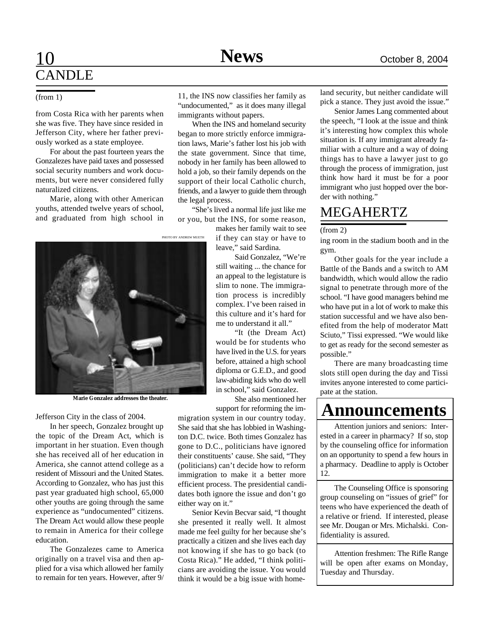from Costa Rica with her parents when she was five. They have since resided in Jefferson City, where her father previously worked as a state employee.

For about the past fourteen years the Gonzalezes have paid taxes and possessed social security numbers and work documents, but were never considered fully naturalized citizens.

Marie, along with other American youths, attended twelve years of school, and graduated from high school in

(from 1) 11, the INS now classifies her family as "undocumented," as it does many illegal immigrants without papers.

When the INS and homeland security began to more strictly enforce immigration laws, Marie's father lost his job with the state government. Since that time, nobody in her family has been allowed to hold a job, so their family depends on the support of their local Catholic church, friends, and a lawyer to guide them through the legal process.

"She's lived a normal life just like me or you, but the INS, for some reason,

makes her family wait to see if they can stay or have to leave," said Sardina.

> Said Gonzalez, "We're still waiting ... the chance for an appeal to the legistature is slim to none. The immigration process is incredibly complex. I've been raised in this culture and it's hard for me to understand it all."

> "It (the Dream Act) would be for students who have lived in the U.S. for years before, attained a high school diploma or G.E.D., and good law-abiding kids who do well in school," said Gonzalez.

She also mentioned her support for reforming the im-

migration system in our country today. She said that she has lobbied in Washington D.C. twice. Both times Gonzalez has gone to D.C., politicians have ignored their constituents' cause. She said, "They (politicians) can't decide how to reform immigration to make it a better more efficient process. The presidential candidates both ignore the issue and don't go either way on it."

Senior Kevin Becvar said, "I thought she presented it really well. It almost made me feel guilty for her because she's practically a citizen and she lives each day not knowing if she has to go back (to Costa Rica)." He added, "I think politicians are avoiding the issue. You would think it would be a big issue with homeland security, but neither candidate will pick a stance. They just avoid the issue."

Senior James Lang commented about the speech, "I look at the issue and think it's interesting how complex this whole situation is. If any immigrant already familiar with a culture and a way of doing things has to have a lawyer just to go through the process of immigration, just think how hard it must be for a poor immigrant who just hopped over the border with nothing."

## MEGAHERTZ

### (from 2)

ing room in the stadium booth and in the gym.

Other goals for the year include a Battle of the Bands and a switch to AM bandwidth, which would allow the radio signal to penetrate through more of the school. "I have good managers behind me who have put in a lot of work to make this station successful and we have also benefited from the help of moderator Matt Sciuto," Tissi expressed. "We would like to get as ready for the second semester as possible."

There are many broadcasting time slots still open during the day and Tissi invites anyone interested to come participate at the station.

## **Announcements**

Attention juniors and seniors: Interested in a career in pharmacy? If so, stop by the counseling office for information on an opportunity to spend a few hours in a pharmacy. Deadline to apply is October 12.

The Counseling Office is sponsoring group counseling on "issues of grief" for teens who have experienced the death of a relative or friend. If interested, please see Mr. Dougan or Mrs. Michalski. Confidentiality is assured.

Attention freshmen: The Rifle Range will be open after exams on Monday, Tuesday and Thursday.

**Marie Gonzalez addresses the theater.**

Jefferson City in the class of 2004.

In her speech, Gonzalez brought up the topic of the Dream Act, which is important in her stuation. Even though she has received all of her education in America, she cannot attend college as a resident of Missouri and the United States. According to Gonzalez, who has just this past year graduated high school, 65,000 other youths are going through the same experience as "undocumented" citizens. The Dream Act would allow these people to remain in America for their college education.

The Gonzalezes came to America originally on a travel visa and then applied for a visa which allowed her family to remain for ten years. However, after 9/

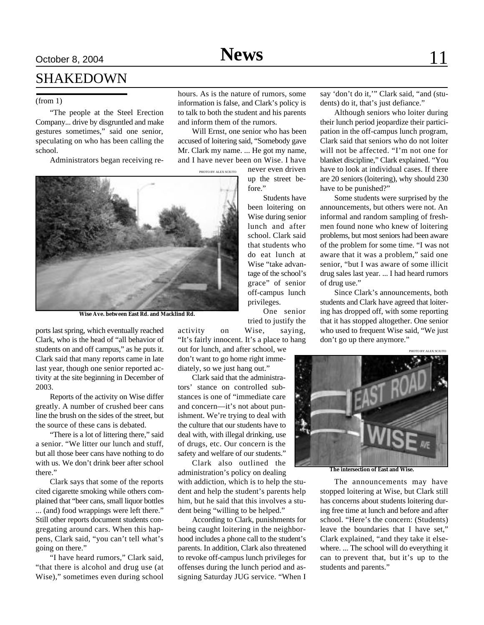## SHAKEDOWN

### (from 1)

"The people at the Steel Erection Company... drive by disgruntled and make gestures sometimes," said one senior, speculating on who has been calling the school.

Administrators began receiving re-

hours. As is the nature of rumors, some information is false, and Clark's policy is to talk to both the student and his parents and inform them of the rumors.

Will Ernst, one senior who has been accused of loitering said, "Somebody gave Mr. Clark my name. ... He got my name, and I have never been on Wise. I have

PHOTO BY ALEX SCIUTO



**Wise Ave. between East Rd. and Macklind Rd.**

ports last spring, which eventually reached Clark, who is the head of "all behavior of students on and off campus," as he puts it. Clark said that many reports came in late last year, though one senior reported activity at the site beginning in December of 2003.

Reports of the activity on Wise differ greatly. A number of crushed beer cans line the brush on the sides of the street, but the source of these cans is debated.

"There is a lot of littering there," said a senior. "We litter our lunch and stuff, but all those beer cans have nothing to do with us. We don't drink beer after school there."

Clark says that some of the reports cited cigarette smoking while others complained that "beer cans, small liquor bottles ... (and) food wrappings were left there." Still other reports document students congregating around cars. When this happens, Clark said, "you can't tell what's going on there."

"I have heard rumors," Clark said, "that there is alcohol and drug use (at Wise)," sometimes even during school

never even driven

up the street before."

Students have been loitering on Wise during senior lunch and after school. Clark said that students who do eat lunch at Wise "take advantage of the school's grace" of senior off-campus lunch privileges.

One senior tried to justify the activity on Wise, saying,

"It's fairly innocent. It's a place to hang

out for lunch, and after school, we don't want to go home right immediately, so we just hang out."

Clark said that the administrators' stance on controlled substances is one of "immediate care and concern—it's not about punishment. We're trying to deal with the culture that our students have to deal with, with illegal drinking, use of drugs, etc. Our concern is the safety and welfare of our students."

Clark also outlined the administration's policy on dealing with addiction, which is to help the student and help the student's parents help him, but he said that this involves a student being "willing to be helped."

According to Clark, punishments for being caught loitering in the neighborhood includes a phone call to the student's parents. In addition, Clark also threatened to revoke off-campus lunch privileges for offenses during the lunch period and assigning Saturday JUG service. "When I

say 'don't do it,'" Clark said, "and (students) do it, that's just defiance."

Although seniors who loiter during their lunch period jeopardize their participation in the off-campus lunch program, Clark said that seniors who do not loiter will not be affected. "I'm not one for blanket discipline," Clark explained. "You have to look at individual cases. If there are 20 seniors (loitering), why should 230 have to be punished?"

Some students were surprised by the announcements, but others were not. An informal and random sampling of freshmen found none who knew of loitering problems, but most seniors had been aware of the problem for some time. "I was not aware that it was a problem," said one senior, "but I was aware of some illicit drug sales last year. ... I had heard rumors of drug use."

Since Clark's announcements, both students and Clark have agreed that loitering has dropped off, with some reporting that it has stopped altogether. One senior who used to frequent Wise said, "We just don't go up there anymore."



**The intersection of East and Wise.**

The announcements may have stopped loitering at Wise, but Clark still has concerns about students loitering during free time at lunch and before and after school. "Here's the concern: (Students) leave the boundaries that I have set," Clark explained, "and they take it elsewhere. ... The school will do everything it can to prevent that, but it's up to the students and parents."